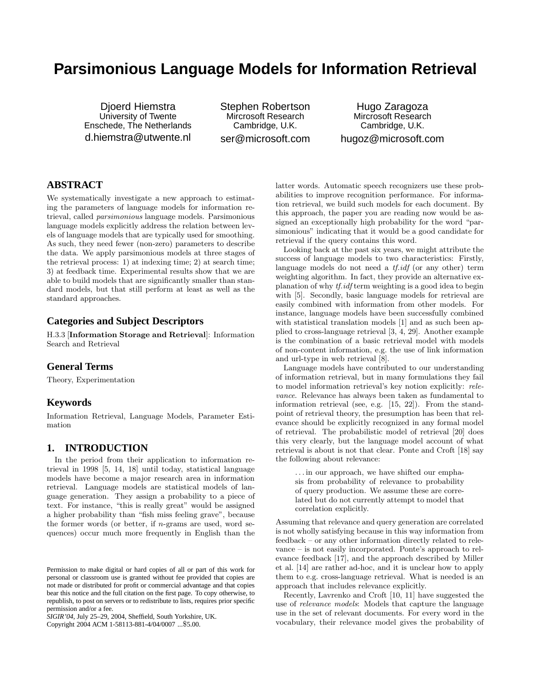# **Parsimonious Language Models for Information Retrieval**

Djoerd Hiemstra University of Twente Enschede, The Netherlands d.hiemstra@utwente.nl

Stephen Robertson Mircrosoft Research Cambridge, U.K. ser@microsoft.com

Hugo Zaragoza Mircrosoft Research Cambridge, U.K. hugoz@microsoft.com

# **ABSTRACT**

We systematically investigate a new approach to estimating the parameters of language models for information retrieval, called parsimonious language models. Parsimonious language models explicitly address the relation between levels of language models that are typically used for smoothing. As such, they need fewer (non-zero) parameters to describe the data. We apply parsimonious models at three stages of the retrieval process: 1) at indexing time; 2) at search time; 3) at feedback time. Experimental results show that we are able to build models that are significantly smaller than standard models, but that still perform at least as well as the standard approaches.

# **Categories and Subject Descriptors**

H.3.3 [Information Storage and Retrieval]: Information Search and Retrieval

# **General Terms**

Theory, Experimentation

# **Keywords**

Information Retrieval, Language Models, Parameter Estimation

# **1. INTRODUCTION**

In the period from their application to information retrieval in 1998 [5, 14, 18] until today, statistical language models have become a major research area in information retrieval. Language models are statistical models of language generation. They assign a probability to a piece of text. For instance, "this is really great" would be assigned a higher probability than "fish miss feeling grave", because the former words (or better, if n-grams are used, word sequences) occur much more frequently in English than the

Copyright 2004 ACM 1-58113-881-4/04/0007 ...\$5.00.

latter words. Automatic speech recognizers use these probabilities to improve recognition performance. For information retrieval, we build such models for each document. By this approach, the paper you are reading now would be assigned an exceptionally high probability for the word "parsimonious" indicating that it would be a good candidate for retrieval if the query contains this word.

Looking back at the past six years, we might attribute the success of language models to two characteristics: Firstly, language models do not need a tf.idf (or any other) term weighting algorithm. In fact, they provide an alternative explanation of why tf.idf term weighting is a good idea to begin with [5]. Secondly, basic language models for retrieval are easily combined with information from other models. For instance, language models have been successfully combined with statistical translation models [1] and as such been applied to cross-language retrieval [3, 4, 29]. Another example is the combination of a basic retrieval model with models of non-content information, e.g. the use of link information and url-type in web retrieval [8].

Language models have contributed to our understanding of information retrieval, but in many formulations they fail to model information retrieval's key notion explicitly: relevance. Relevance has always been taken as fundamental to information retrieval (see, e.g. [15, 22]). From the standpoint of retrieval theory, the presumption has been that relevance should be explicitly recognized in any formal model of retrieval. The probabilistic model of retrieval [20] does this very clearly, but the language model account of what retrieval is about is not that clear. Ponte and Croft [18] say the following about relevance:

. . . in our approach, we have shifted our emphasis from probability of relevance to probability of query production. We assume these are correlated but do not currently attempt to model that correlation explicitly.

Assuming that relevance and query generation are correlated is not wholly satisfying because in this way information from feedback – or any other information directly related to relevance – is not easily incorporated. Ponte's approach to relevance feedback [17], and the approach described by Miller et al. [14] are rather ad-hoc, and it is unclear how to apply them to e.g. cross-language retrieval. What is needed is an approach that includes relevance explicitly.

Recently, Lavrenko and Croft [10, 11] have suggested the use of relevance models: Models that capture the language use in the set of relevant documents. For every word in the vocabulary, their relevance model gives the probability of

Permission to make digital or hard copies of all or part of this work for personal or classroom use is granted without fee provided that copies are not made or distributed for profit or commercial advantage and that copies bear this notice and the full citation on the first page. To copy otherwise, to republish, to post on servers or to redistribute to lists, requires prior specific permission and/or a fee.

*SIGIR'04,* July 25–29, 2004, Sheffield, South Yorkshire, UK.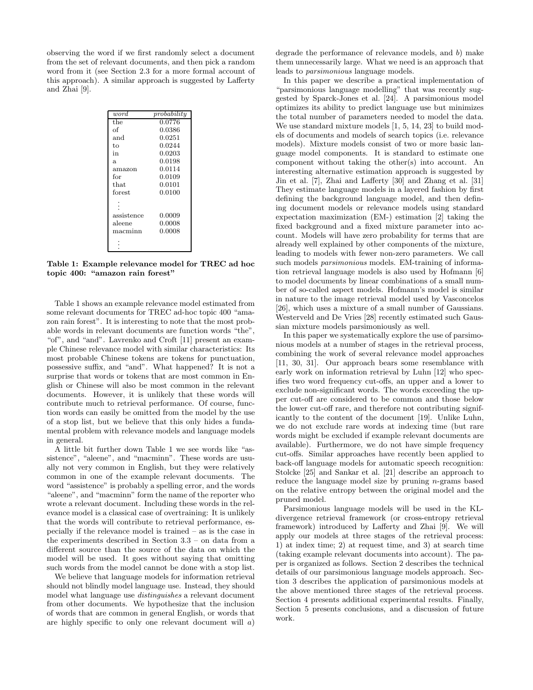observing the word if we first randomly select a document from the set of relevant documents, and then pick a random word from it (see Section 2.3 for a more formal account of this approach). A similar approach is suggested by Lafferty and Zhai [9].

| word.      | probability |
|------------|-------------|
| the        | 0.0776      |
| of         | 0.0386      |
| and        | 0.0251      |
| tο         | 0.0244      |
| in         | 0.0203      |
| a.         | 0.0198      |
| amazon     | 0.0114      |
| for        | 0.0109      |
| that       | 0.0101      |
| forest     | 0.0100      |
|            |             |
|            |             |
| assistence | 0.0009      |
| aleene     | 0.0008      |
| macminn    | 0.0008      |
|            |             |
|            |             |

Table 1: Example relevance model for TREC ad hoc topic 400: "amazon rain forest"

Table 1 shows an example relevance model estimated from some relevant documents for TREC ad-hoc topic 400 "amazon rain forest". It is interesting to note that the most probable words in relevant documents are function words "the", "of", and "and". Lavrenko and Croft [11] present an example Chinese relevance model with similar characteristics: Its most probable Chinese tokens are tokens for punctuation, possessive suffix, and "and". What happened? It is not a surprise that words or tokens that are most common in English or Chinese will also be most common in the relevant documents. However, it is unlikely that these words will contribute much to retrieval performance. Of course, function words can easily be omitted from the model by the use of a stop list, but we believe that this only hides a fundamental problem with relevance models and language models in general.

A little bit further down Table 1 we see words like "assistence", "aleene", and "macminn". These words are usually not very common in English, but they were relatively common in one of the example relevant documents. The word "assistence" is probably a spelling error, and the words "aleene", and "macminn" form the name of the reporter who wrote a relevant document. Including these words in the relevance model is a classical case of overtraining: It is unlikely that the words will contribute to retrieval performance, especially if the relevance model is trained – as is the case in the experiments described in Section 3.3 – on data from a different source than the source of the data on which the model will be used. It goes without saying that omitting such words from the model cannot be done with a stop list.

We believe that language models for information retrieval should not blindly model language use. Instead, they should model what language use distinguishes a relevant document from other documents. We hypothesize that the inclusion of words that are common in general English, or words that are highly specific to only one relevant document will  $a$ ) degrade the performance of relevance models, and b) make them unnecessarily large. What we need is an approach that leads to parsimonious language models.

In this paper we describe a practical implementation of "parsimonious language modelling" that was recently suggested by Sparck-Jones et al. [24]. A parsimonious model optimizes its ability to predict language use but minimizes the total number of parameters needed to model the data. We use standard mixture models [1, 5, 14, 23] to build models of documents and models of search topics (i.e. relevance models). Mixture models consist of two or more basic language model components. It is standard to estimate one component without taking the other(s) into account. An interesting alternative estimation approach is suggested by Jin et al. [7], Zhai and Lafferty [30] and Zhang et al. [31] They estimate language models in a layered fashion by first defining the background language model, and then defining document models or relevance models using standard expectation maximization (EM-) estimation [2] taking the fixed background and a fixed mixture parameter into account. Models will have zero probability for terms that are already well explained by other components of the mixture, leading to models with fewer non-zero parameters. We call such models *parsimonious* models. EM-training of information retrieval language models is also used by Hofmann [6] to model documents by linear combinations of a small number of so-called aspect models. Hofmann's model is similar in nature to the image retrieval model used by Vasconcelos [26], which uses a mixture of a small number of Gaussians. Westerveld and De Vries [28] recently estimated such Gaussian mixture models parsimoniously as well.

In this paper we systematically explore the use of parsimonious models at a number of stages in the retrieval process, combining the work of several relevance model approaches [11, 30, 31]. Our approach bears some resemblance with early work on information retrieval by Luhn [12] who specifies two word frequency cut-offs, an upper and a lower to exclude non-significant words. The words exceeding the upper cut-off are considered to be common and those below the lower cut-off rare, and therefore not contributing significantly to the content of the document [19]. Unlike Luhn, we do not exclude rare words at indexing time (but rare words might be excluded if example relevant documents are available). Furthermore, we do not have simple frequency cut-offs. Similar approaches have recently been applied to back-off language models for automatic speech recognition: Stolcke [25] and Sankar et al. [21] describe an approach to reduce the language model size by pruning  $n$ -grams based on the relative entropy between the original model and the pruned model.

Parsimonious language models will be used in the KLdivergence retrieval framework (or cross-entropy retrieval framework) introduced by Lafferty and Zhai [9]. We will apply our models at three stages of the retrieval process: 1) at index time; 2) at request time, and 3) at search time (taking example relevant documents into account). The paper is organized as follows. Section 2 describes the technical details of our parsimonious language models approach. Section 3 describes the application of parsimonious models at the above mentioned three stages of the retrieval process. Section 4 presents additional experimental results. Finally, Section 5 presents conclusions, and a discussion of future work.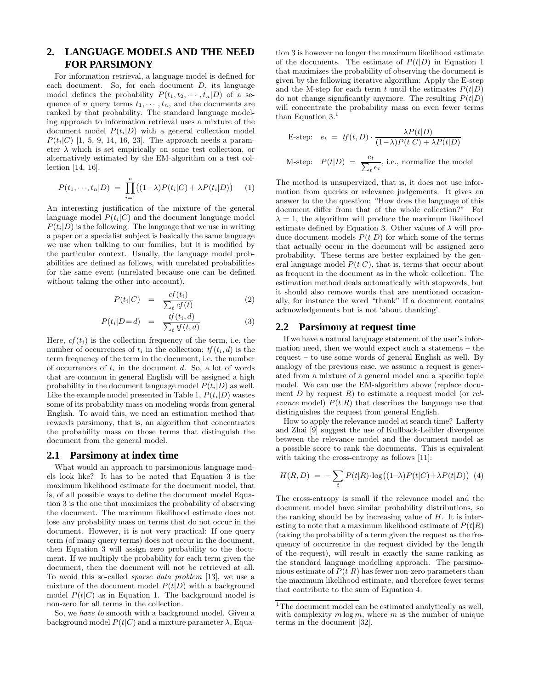# **2. LANGUAGE MODELS AND THE NEED FOR PARSIMONY**

For information retrieval, a language model is defined for each document. So, for each document  $D$ , its language model defines the probability  $P(t_1, t_2, \dots, t_n|D)$  of a sequence of *n* query terms  $t_1, \dots, t_n$ , and the documents are ranked by that probability. The standard language modeling approach to information retrieval uses a mixture of the document model  $P(t_i|D)$  with a general collection model  $P(t_i|C)$  [1, 5, 9, 14, 16, 23]. The approach needs a parameter  $\lambda$  which is set empirically on some test collection, or alternatively estimated by the EM-algorithm on a test collection [14, 16].

$$
P(t_1, \dots, t_n | D) = \prod_{i=1}^n ((1 - \lambda)P(t_i | C) + \lambda P(t_i | D)) \quad (1)
$$

An interesting justification of the mixture of the general language model  $P(t_i|C)$  and the document language model  $P(t_i|D)$  is the following: The language that we use in writing a paper on a specialist subject is basically the same language we use when talking to our families, but it is modified by the particular context. Usually, the language model probabilities are defined as follows, with unrelated probabilities for the same event (unrelated because one can be defined without taking the other into account).

$$
P(t_i|C) = \frac{cf(t_i)}{\sum_t cf(t)} \tag{2}
$$

$$
P(t_i|D=d) = \frac{tf(t_i,d)}{\sum_t tf(t,d)} \tag{3}
$$

Here,  $cf(t_i)$  is the collection frequency of the term, i.e. the number of occurrences of  $t_i$  in the collection;  $tf(t_i, d)$  is the term frequency of the term in the document, i.e. the number of occurrences of  $t_i$  in the document d. So, a lot of words that are common in general English will be assigned a high probability in the document language model  $P(t_i|D)$  as well. Like the example model presented in Table 1,  $P(t_i|D)$  wastes some of its probability mass on modeling words from general English. To avoid this, we need an estimation method that rewards parsimony, that is, an algorithm that concentrates the probability mass on those terms that distinguish the document from the general model.

#### **2.1 Parsimony at index time**

What would an approach to parsimonious language models look like? It has to be noted that Equation 3 is the maximum likelihood estimate for the document model, that is, of all possible ways to define the document model Equation 3 is the one that maximizes the probability of observing the document. The maximum likelihood estimate does not lose any probability mass on terms that do not occur in the document. However, it is not very practical: If one query term (of many query terms) does not occur in the document, then Equation 3 will assign zero probability to the document. If we multiply the probability for each term given the document, then the document will not be retrieved at all. To avoid this so-called sparse data problem [13], we use a mixture of the document model  $P(t|D)$  with a background model  $P(t|C)$  as in Equation 1. The background model is non-zero for all terms in the collection.

So, we have to smooth with a background model. Given a background model  $P(t|C)$  and a mixture parameter  $\lambda$ , Equation 3 is however no longer the maximum likelihood estimate of the documents. The estimate of  $P(t|D)$  in Equation 1 that maximizes the probability of observing the document is given by the following iterative algorithm: Apply the E-step and the M-step for each term t until the estimates  $P(t|D)$ do not change significantly anymore. The resulting  $P(t|D)$ will concentrate the probability mass on even fewer terms than Equation  $3<sup>1</sup>$ 

E-step: 
$$
e_t = tf(t, D) \cdot \frac{\lambda P(t|D)}{(1-\lambda)P(t|C) + \lambda P(t|D)}
$$
  
M-step:  $P(t|D) = \frac{e_t}{\sum_t e_t}$ , i.e., normalize the model

The method is unsupervized, that is, it does not use information from queries or relevance judgements. It gives an answer to the the question: "How does the language of this document differ from that of the whole collection?" For  $\lambda = 1$ , the algorithm will produce the maximum likelihood estimate defined by Equation 3. Other values of  $\lambda$  will produce document models  $P(t|D)$  for which some of the terms that actually occur in the document will be assigned zero probability. These terms are better explained by the general language model  $P(t|C)$ , that is, terms that occur about as frequent in the document as in the whole collection. The estimation method deals automatically with stopwords, but it should also remove words that are mentioned occasionally, for instance the word "thank" if a document contains acknowledgements but is not 'about thanking'.

#### **2.2 Parsimony at request time**

If we have a natural language statement of the user's information need, then we would expect such a statement – the request – to use some words of general English as well. By analogy of the previous case, we assume a request is generated from a mixture of a general model and a specific topic model. We can use the EM-algorithm above (replace document  $D$  by request  $R$ ) to estimate a request model (or relevance model)  $P(t|R)$  that describes the language use that distinguishes the request from general English.

How to apply the relevance model at search time? Lafferty and Zhai [9] suggest the use of Kullback-Leibler divergence between the relevance model and the document model as a possible score to rank the documents. This is equivalent with taking the cross-entropy as follows [11]:

$$
H(R, D) = -\sum_{t} P(t|R) \cdot \log((1-\lambda)P(t|C) + \lambda P(t|D)) \tag{4}
$$

The cross-entropy is small if the relevance model and the document model have similar probability distributions, so the ranking should be by increasing value of  $H$ . It is interesting to note that a maximum likelihood estimate of  $P(t|R)$ (taking the probability of a term given the request as the frequency of occurrence in the request divided by the length of the request), will result in exactly the same ranking as the standard language modelling approach. The parsimonious estimate of  $P(t|R)$  has fewer non-zero parameters than the maximum likelihood estimate, and therefore fewer terms that contribute to the sum of Equation 4.

<sup>&</sup>lt;sup>1</sup>The document model can be estimated analytically as well, with complexity  $m \log m$ , where  $m$  is the number of unique terms in the document [32].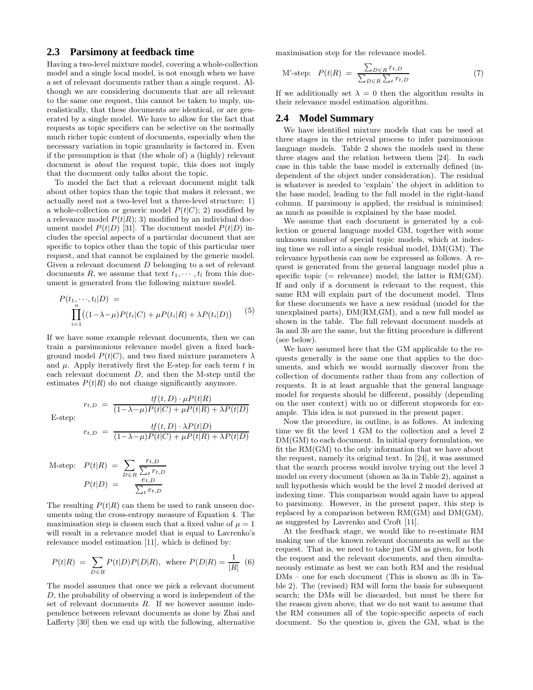# **2.3 Parsimony at feedback time**

Having a two-level mixture model, covering a whole-collection model and a single local model, is not enough when we have a set of relevant documents rather than a single request. Although we are considering documents that are all relevant to the same one request, this cannot be taken to imply, unrealistically, that these documents are identical, or are generated by a single model. We have to allow for the fact that requests as topic specifiers can be selective on the normally much richer topic content of documents, especially when the necessary variation in topic granularity is factored in. Even if the presumption is that (the whole of) a (highly) relevant document is about the request topic, this does not imply that the document only talks about the topic.

To model the fact that a relevant document might talk about other topics than the topic that makes it relevant, we actually need not a two-level but a three-level structure: 1) a whole-collection or generic model  $P(t|C)$ ; 2) modified by a relevance model  $P(t|R)$ ; 3) modified by an individual document model  $P(t|D)$  [31]. The document model  $P(t|D)$  includes the special aspects of a particular document that are specific to topics other than the topic of this particular user request, and that cannot be explained by the generic model. Given a relevant document D belonging to a set of relevant documents R, we assume that text  $t_1, \dots, t_l$  from this document is generated from the following mixture model.

$$
P(t_1, \dots, t_l | D) = \prod_{i=1}^{n} ((1 - \lambda - \mu)P(t_i | C) + \mu P(t_i | R) + \lambda P(t_i | D))
$$
 (5)

If we have some example relevant documents, then we can train a parsimonious relevance model given a fixed background model  $P(t|C)$ , and two fixed mixture parameters  $\lambda$ and  $\mu$ . Apply iteratively first the E-step for each term  $t$  in each relevant document  $D$ , and then the M-step until the estimates  $P(t|R)$  do not change significantly anymore.

$$
r_{t,D} = \frac{tf(t,D) \cdot \mu P(t|R)}{(1-\lambda-\mu)P(t|C) + \mu P(t|R) + \lambda P(t|D)}
$$

E-step:

$$
e_{t,D} = \frac{tf(t,D) \cdot \lambda P(t|D)}{(1-\lambda-\mu)P(t|C) + \mu P(t|R) + \lambda P(t|D)}
$$

M-step: 
$$
P(t|R) = \sum_{D \in R} \frac{r_{t,D}}{\sum_{t} r_{t,D}}
$$
  
 $P(t|D) = \frac{e_{t,D}}{\sum_{t} e_{t,D}}$ 

The resulting  $P(t|R)$  can them be used to rank unseen documents using the cross-entropy measure of Equation 4. The maximisation step is chosen such that a fixed value of  $\mu = 1$ will result in a relevance model that is equal to Lavrenko's relevance model estimation [11], which is defined by:

$$
P(t|R) = \sum_{D \in R} P(t|D)P(D|R)
$$
, where  $P(D|R) = \frac{1}{|R|}$  (6)

The model assumes that once we pick a relevant document D, the probability of observing a word is independent of the set of relevant documents  $R$ . If we however assume independence between relevant documents as done by Zhai and Lafferty [30] then we end up with the following, alternative

maximisation step for the relevance model.

$$
\text{M'-step:} \quad P(t|R) \ = \ \frac{\sum_{D \in R} r_{t,D}}{\sum_{D \in R} \sum_{t} r_{t,D}} \tag{7}
$$

If we additionally set  $\lambda = 0$  then the algorithm results in their relevance model estimation algorithm.

#### **2.4 Model Summary**

We have identified mixture models that can be used at three stages in the retrieval process to infer parsimonious language models. Table 2 shows the models used in these three stages and the relation between them [24]. In each case in this table the base model is externally defined (independent of the object under consideration). The residual is whatever is needed to 'explain' the object in addition to the base model, leading to the full model in the right-hand column. If parsimony is applied, the residual is minimised: as much as possible is explained by the base model.

We assume that each document is generated by a collection or general language model GM, together with some unknown number of special topic models, which at indexing time we roll into a single residual model, DM(GM). The relevance hypothesis can now be expressed as follows. A request is generated from the general language model plus a specific topic (= relevance) model; the latter is  $RM(GM)$ . If and only if a document is relevant to the request, this same RM will explain part of the document model. Thus for these documents we have a new residual (model for the unexplained parts), DM(RM,GM), and a new full model as shown in the table. The full relevant document models at 3a and 3b are the same, but the fitting procedure is different (see below).

We have assumed here that the GM applicable to the requests generally is the same one that applies to the documents, and which we would normally discover from the collection of documents rather than from any collection of requests. It is at least arguable that the general language model for requests should be different, possibly (depending on the user context) with no or different stopwords for example. This idea is not pursued in the present paper.

Now the procedure, in outline, is as follows. At indexing time we fit the level 1 GM to the collection and a level 2 DM(GM) to each document. In initial query formulation, we fit the RM(GM) to the only information that we have about the request, namely its original text. In [24], it was assumed that the search process would involve trying out the level 3 model on every document (shown as 3a in Table 2), against a null hypothesis which would be the level 2 model derived at indexing time. This comparison would again have to appeal to parsimony. However, in the present paper, this step is replaced by a comparison between RM(GM) and DM(GM), as suggested by Lavrenko and Croft [11].

At the feedback stage, we would like to re-estimate RM making use of the known relevant documents as well as the request. That is, we need to take just GM as given, for both the request and the relevant documents, and then simultaneously estimate as best we can both RM and the residual DMs – one for each document (This is shown as 3b in Table 2). The (revised) RM will form the basis for subsequent search; the DMs will be discarded, but must be there for the reason given above, that we do not want to assume that the RM consumes all of the topic-specific aspects of each document. So the question is, given the GM, what is the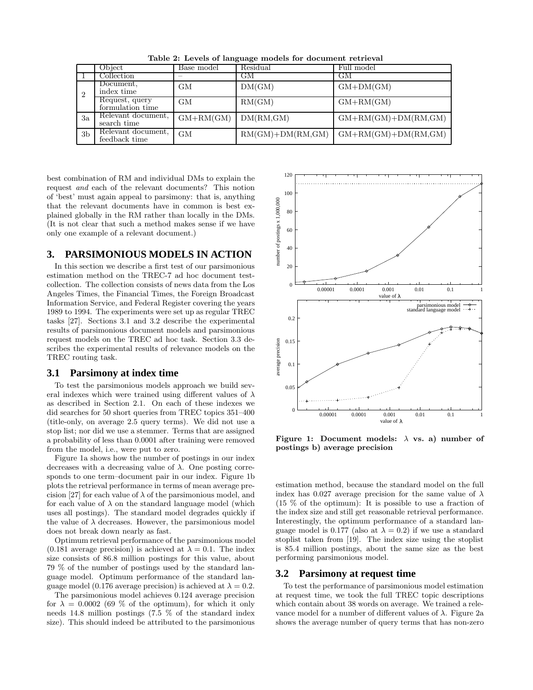|                | Object                              | Base model  | Residual           | Full model            |
|----------------|-------------------------------------|-------------|--------------------|-----------------------|
|                | Collection                          |             | GМ                 | GМ                    |
| $\overline{2}$ | Document,<br>index time             | GМ          | DM(GM)             | $GM+DM(GM)$           |
|                | Request, query<br>formulation time  | GМ          | RM(GM)             | $GM+RM(GM)$           |
| 3a             | Relevant document,<br>search time   | $GM+RM(GM)$ | DM(RM, GM)         | $GM+RM(GM)+DM(RM,GM)$ |
| 3 <sub>b</sub> | Relevant document,<br>feedback time | GМ          | $RM(GM)+DM(RM,GM)$ | $GM+RM(GM)+DM(RM,GM)$ |

Table 2: Levels of language models for document retrieval

best combination of RM and individual DMs to explain the request and each of the relevant documents? This notion of 'best' must again appeal to parsimony: that is, anything that the relevant documents have in common is best explained globally in the RM rather than locally in the DMs. (It is not clear that such a method makes sense if we have only one example of a relevant document.)

# **3. PARSIMONIOUS MODELS IN ACTION**

In this section we describe a first test of our parsimonious estimation method on the TREC-7 ad hoc document testcollection. The collection consists of news data from the Los Angeles Times, the Financial Times, the Foreign Broadcast Information Service, and Federal Register covering the years 1989 to 1994. The experiments were set up as regular TREC tasks [27]. Sections 3.1 and 3.2 describe the experimental results of parsimonious document models and parsimonious request models on the TREC ad hoc task. Section 3.3 describes the experimental results of relevance models on the TREC routing task.

### **3.1 Parsimony at index time**

To test the parsimonious models approach we build several indexes which were trained using different values of  $\lambda$ as described in Section 2.1. On each of these indexes we did searches for 50 short queries from TREC topics 351–400 (title-only, on average 2.5 query terms). We did not use a stop list; nor did we use a stemmer. Terms that are assigned a probability of less than 0.0001 after training were removed from the model, i.e., were put to zero.

Figure 1a shows how the number of postings in our index decreases with a decreasing value of  $\lambda$ . One posting corresponds to one term–document pair in our index. Figure 1b plots the retrieval performance in terms of mean average precision [27] for each value of  $\lambda$  of the parsimonious model, and for each value of  $\lambda$  on the standard language model (which uses all postings). The standard model degrades quickly if the value of  $\lambda$  decreases. However, the parsimonious model does not break down nearly as fast.

Optimum retrieval performance of the parsimonious model (0.181 average precision) is achieved at  $\lambda = 0.1$ . The index size consists of 86.8 million postings for this value, about 79 % of the number of postings used by the standard language model. Optimum performance of the standard language model (0.176 average precision) is achieved at  $\lambda = 0.2$ .

The parsimonious model achieves 0.124 average precision for  $\lambda = 0.0002$  (69 % of the optimum), for which it only needs 14.8 million postings (7.5 % of the standard index size). This should indeed be attributed to the parsimonious



Figure 1: Document models:  $\lambda$  vs. a) number of postings b) average precision

estimation method, because the standard model on the full index has 0.027 average precision for the same value of  $\lambda$ (15 % of the optimum): It is possible to use a fraction of the index size and still get reasonable retrieval performance. Interestingly, the optimum performance of a standard language model is 0.177 (also at  $\lambda = 0.2$ ) if we use a standard stoplist taken from [19]. The index size using the stoplist is 85.4 million postings, about the same size as the best performing parsimonious model.

#### **3.2 Parsimony at request time**

To test the performance of parsimonious model estimation at request time, we took the full TREC topic descriptions which contain about 38 words on average. We trained a relevance model for a number of different values of λ. Figure 2a shows the average number of query terms that has non-zero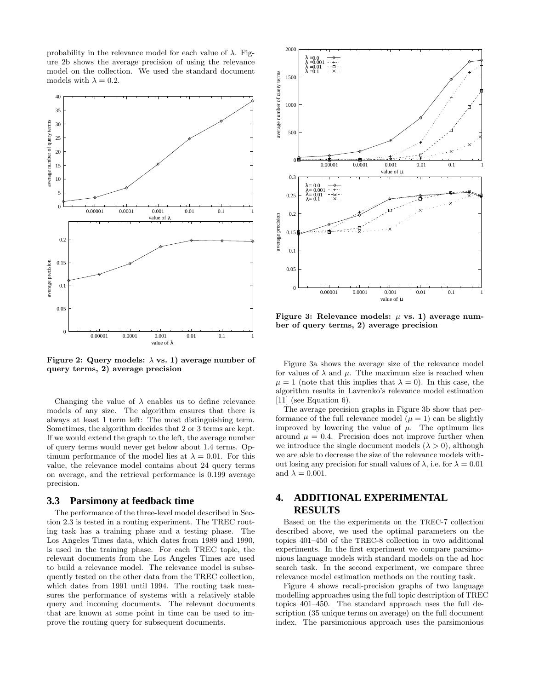probability in the relevance model for each value of  $\lambda$ . Figure 2b shows the average precision of using the relevance model on the collection. We used the standard document models with  $\lambda = 0.2$ .



Figure 2: Query models:  $\lambda$  vs. 1) average number of query terms, 2) average precision

Changing the value of  $\lambda$  enables us to define relevance models of any size. The algorithm ensures that there is always at least 1 term left: The most distinguishing term. Sometimes, the algorithm decides that 2 or 3 terms are kept. If we would extend the graph to the left, the average number of query terms would never get below about 1.4 terms. Optimum performance of the model lies at  $\lambda = 0.01$ . For this value, the relevance model contains about 24 query terms on average, and the retrieval performance is 0.199 average precision.

#### **3.3 Parsimony at feedback time**

The performance of the three-level model described in Section 2.3 is tested in a routing experiment. The TREC routing task has a training phase and a testing phase. The Los Angeles Times data, which dates from 1989 and 1990, is used in the training phase. For each TREC topic, the relevant documents from the Los Angeles Times are used to build a relevance model. The relevance model is subsequently tested on the other data from the TREC collection, which dates from 1991 until 1994. The routing task measures the performance of systems with a relatively stable query and incoming documents. The relevant documents that are known at some point in time can be used to improve the routing query for subsequent documents.



Figure 3: Relevance models:  $\mu$  vs. 1) average number of query terms, 2) average precision

Figure 3a shows the average size of the relevance model for values of  $\lambda$  and  $\mu$ . The maximum size is reached when  $\mu = 1$  (note that this implies that  $\lambda = 0$ ). In this case, the algorithm results in Lavrenko's relevance model estimation [11] (see Equation 6).

The average precision graphs in Figure 3b show that performance of the full relevance model  $(\mu = 1)$  can be slightly improved by lowering the value of  $\mu$ . The optimum lies around  $\mu = 0.4$ . Precision does not improve further when we introduce the single document models  $(\lambda > 0)$ , although we are able to decrease the size of the relevance models without losing any precision for small values of  $\lambda$ , i.e. for  $\lambda = 0.01$ and  $\lambda = 0.001$ .

# **4. ADDITIONAL EXPERIMENTAL RESULTS**

Based on the the experiments on the TREC-7 collection described above, we used the optimal parameters on the topics 401–450 of the TREC-8 collection in two additional experiments. In the first experiment we compare parsimonious language models with standard models on the ad hoc search task. In the second experiment, we compare three relevance model estimation methods on the routing task.

Figure 4 shows recall-precision graphs of two language modelling approaches using the full topic description of TREC topics 401–450. The standard approach uses the full description (35 unique terms on average) on the full document index. The parsimonious approach uses the parsimonious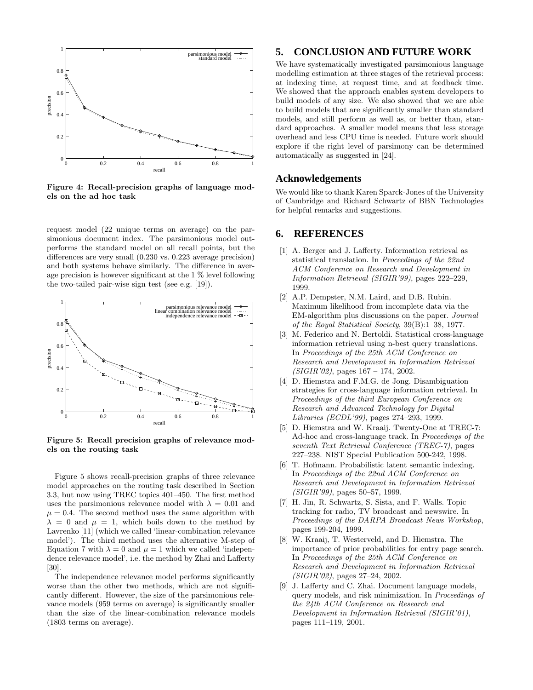

Figure 4: Recall-precision graphs of language models on the ad hoc task

request model (22 unique terms on average) on the parsimonious document index. The parsimonious model outperforms the standard model on all recall points, but the differences are very small (0.230 vs. 0.223 average precision) and both systems behave similarly. The difference in average precision is however significant at the 1 % level following the two-tailed pair-wise sign test (see e.g. [19]).



Figure 5: Recall precision graphs of relevance models on the routing task

Figure 5 shows recall-precision graphs of three relevance model approaches on the routing task described in Section 3.3, but now using TREC topics 401–450. The first method uses the parsimonious relevance model with  $\lambda = 0.01$  and  $\mu = 0.4$ . The second method uses the same algorithm with  $\lambda = 0$  and  $\mu = 1$ , which boils down to the method by Lavrenko [11] (which we called 'linear-combination relevance model'). The third method uses the alternative M-step of Equation 7 with  $\lambda = 0$  and  $\mu = 1$  which we called 'independence relevance model', i.e. the method by Zhai and Lafferty [30].

The independence relevance model performs significantly worse than the other two methods, which are not significantly different. However, the size of the parsimonious relevance models (959 terms on average) is significantly smaller than the size of the linear-combination relevance models (1803 terms on average).

# **5. CONCLUSION AND FUTURE WORK**

We have systematically investigated parsimonious language modelling estimation at three stages of the retrieval process: at indexing time, at request time, and at feedback time. We showed that the approach enables system developers to build models of any size. We also showed that we are able to build models that are significantly smaller than standard models, and still perform as well as, or better than, standard approaches. A smaller model means that less storage overhead and less CPU time is needed. Future work should explore if the right level of parsimony can be determined automatically as suggested in [24].

## **Acknowledgements**

We would like to thank Karen Sparck-Jones of the University of Cambridge and Richard Schwartz of BBN Technologies for helpful remarks and suggestions.

## **6. REFERENCES**

- [1] A. Berger and J. Lafferty. Information retrieval as statistical translation. In Proceedings of the 22nd ACM Conference on Research and Development in Information Retrieval (SIGIR'99), pages 222–229, 1999.
- [2] A.P. Dempster, N.M. Laird, and D.B. Rubin. Maximum likelihood from incomplete data via the EM-algorithm plus discussions on the paper. Journal of the Royal Statistical Society, 39(B):1–38, 1977.
- [3] M. Federico and N. Bertoldi. Statistical cross-language information retrieval using n-best query translations. In Proceedings of the 25th ACM Conference on Research and Development in Information Retrieval (SIGIR'02), pages 167 – 174, 2002.
- [4] D. Hiemstra and F.M.G. de Jong. Disambiguation strategies for cross-language information retrieval. In Proceedings of the third European Conference on Research and Advanced Technology for Digital Libraries (ECDL'99), pages 274–293, 1999.
- [5] D. Hiemstra and W. Kraaij. Twenty-One at TREC-7: Ad-hoc and cross-language track. In Proceedings of the seventh Text Retrieval Conference (TREC-7), pages 227–238. NIST Special Publication 500-242, 1998.
- [6] T. Hofmann. Probabilistic latent semantic indexing. In Proceedings of the 22nd ACM Conference on Research and Development in Information Retrieval (SIGIR'99), pages 50–57, 1999.
- [7] H. Jin, R. Schwartz, S. Sista, and F. Walls. Topic tracking for radio, TV broadcast and newswire. In Proceedings of the DARPA Broadcast News Workshop, pages 199-204, 1999.
- [8] W. Kraaij, T. Westerveld, and D. Hiemstra. The importance of prior probabilities for entry page search. In Proceedings of the 25th ACM Conference on Research and Development in Information Retrieval (SIGIR'02), pages 27–24, 2002.
- [9] J. Lafferty and C. Zhai. Document language models, query models, and risk minimization. In Proceedings of the 24th ACM Conference on Research and Development in Information Retrieval (SIGIR'01), pages 111–119, 2001.